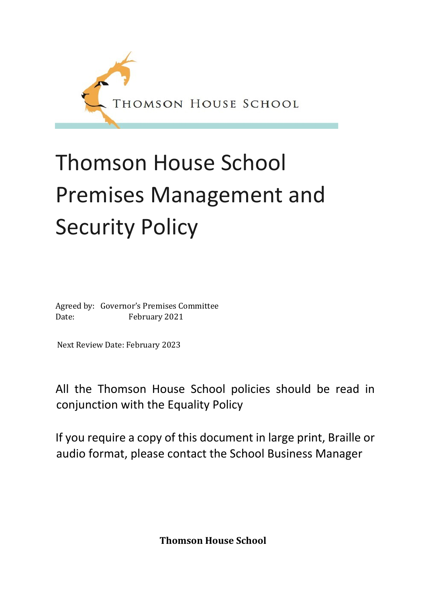

# Thomson House School Premises Management and Security Policy

Agreed by: Governor's Premises Committee Date: February 2021

Next Review Date: February 2023

All the Thomson House School policies should be read in conjunction with the Equality Policy

If you require a copy of this document in large print, Braille or audio format, please contact the School Business Manager

**Thomson House School**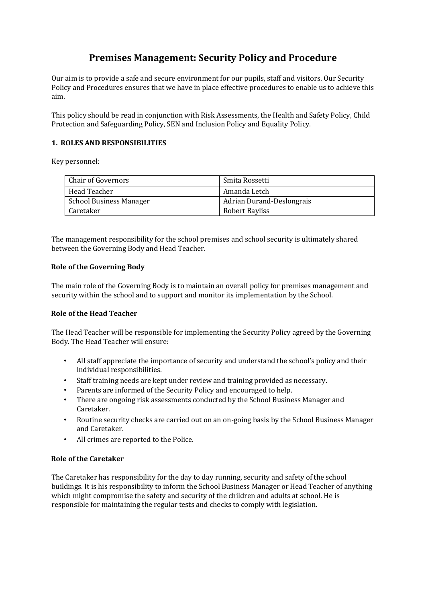# **Premises Management: Security Policy and Procedure**

Our aim is to provide a safe and secure environment for our pupils, staff and visitors. Our Security Policy and Procedures ensures that we have in place effective procedures to enable us to achieve this aim.

This policy should be read in conjunction with Risk Assessments, the Health and Safety Policy, Child Protection and Safeguarding Policy, SEN and Inclusion Policy and Equality Policy.

#### **1. ROLES AND RESPONSIBILITIES**

Key personnel:

| Chair of Governors             | Smita Rossetti            |
|--------------------------------|---------------------------|
| Head Teacher                   | Amanda Letch              |
| <b>School Business Manager</b> | Adrian Durand-Deslongrais |
| Caretaker                      | Robert Bayliss            |

The management responsibility for the school premises and school security is ultimately shared between the Governing Body and Head Teacher.

#### **Role of the Governing Body**

The main role of the Governing Body is to maintain an overall policy for premises management and security within the school and to support and monitor its implementation by the School.

#### **Role of the Head Teacher**

The Head Teacher will be responsible for implementing the Security Policy agreed by the Governing Body. The Head Teacher will ensure:

- All staff appreciate the importance of security and understand the school's policy and their individual responsibilities.
- Staff training needs are kept under review and training provided as necessary.
- Parents are informed of the Security Policy and encouraged to help.
- There are ongoing risk assessments conducted by the School Business Manager and Caretaker.
- Routine security checks are carried out on an on-going basis by the School Business Manager and Caretaker.
- All crimes are reported to the Police.

#### **Role of the Caretaker**

The Caretaker has responsibility for the day to day running, security and safety of the school buildings. It is his responsibility to inform the School Business Manager or Head Teacher of anything which might compromise the safety and security of the children and adults at school. He is responsible for maintaining the regular tests and checks to comply with legislation.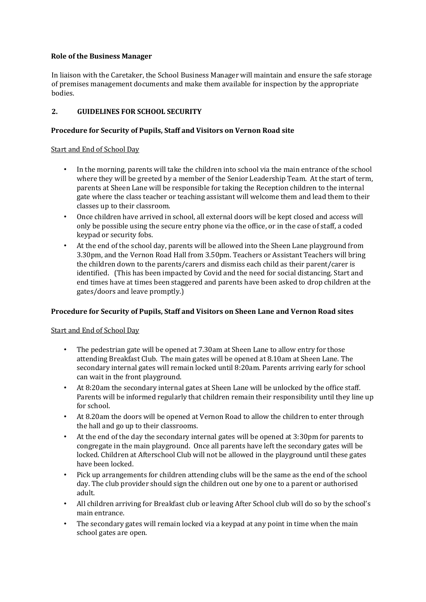#### **Role of the Business Manager**

In liaison with the Caretaker, the School Business Manager will maintain and ensure the safe storage of premises management documents and make them available for inspection by the appropriate bodies.

# **2. GUIDELINES FOR SCHOOL SECURITY**

# **Procedure for Security of Pupils, Staff and Visitors on Vernon Road site**

#### Start and End of School Day

- In the morning, parents will take the children into school via the main entrance of the school where they will be greeted by a member of the Senior Leadership Team. At the start of term, parents at Sheen Lane will be responsible for taking the Reception children to the internal gate where the class teacher or teaching assistant will welcome them and lead them to their classes up to their classroom.
- Once children have arrived in school, all external doors will be kept closed and access will only be possible using the secure entry phone via the office, or in the case of staff, a coded keypad or security fobs.
- At the end of the school day, parents will be allowed into the Sheen Lane playground from 3.30pm, and the Vernon Road Hall from 3.50pm. Teachers or Assistant Teachers will bring the children down to the parents/carers and dismiss each child as their parent/carer is identified. (This has been impacted by Covid and the need for social distancing. Start and end times have at times been staggered and parents have been asked to drop children at the gates/doors and leave promptly.)

# **Procedure for Security of Pupils, Staff and Visitors on Sheen Lane and Vernon Road sites**

# Start and End of School Day

- The pedestrian gate will be opened at 7.30am at Sheen Lane to allow entry for those attending Breakfast Club. The main gates will be opened at 8.10am at Sheen Lane. The secondary internal gates will remain locked until 8:20am. Parents arriving early for school can wait in the front playground.
- At 8:20am the secondary internal gates at Sheen Lane will be unlocked by the office staff. Parents will be informed regularly that children remain their responsibility until they line up for school.
- At 8.20am the doors will be opened at Vernon Road to allow the children to enter through the hall and go up to their classrooms.
- At the end of the day the secondary internal gates will be opened at 3:30pm for parents to congregate in the main playground. Once all parents have left the secondary gates will be locked. Children at Afterschool Club will not be allowed in the playground until these gates have been locked.
- Pick up arrangements for children attending clubs will be the same as the end of the school day. The club provider should sign the children out one by one to a parent or authorised adult.
- All children arriving for Breakfast club or leaving After School club will do so by the school's main entrance.
- The secondary gates will remain locked via a keypad at any point in time when the main school gates are open.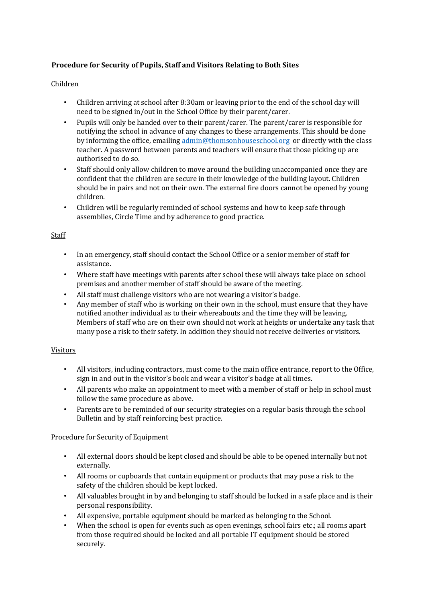# **Procedure for Security of Pupils, Staff and Visitors Relating to Both Sites**

# Children

- Children arriving at school after 8:30am or leaving prior to the end of the school day will need to be signed in/out in the School Office by their parent/carer.
- Pupils will only be handed over to their parent/carer. The parent/carer is responsible for notifying the school in advance of any changes to these arrangements. This should be done by informing the office, emailin[g admin@thomsonhouseschool.org](mailto:admin@thomsonhouseschool.org) or directly with the class teacher. A password between parents and teachers will ensure that those picking up are authorised to do so.
- Staff should only allow children to move around the building unaccompanied once they are confident that the children are secure in their knowledge of the building layout. Children should be in pairs and not on their own. The external fire doors cannot be opened by young children.
- Children will be regularly reminded of school systems and how to keep safe through assemblies, Circle Time and by adherence to good practice.

#### Staff

- In an emergency, staff should contact the School Office or a senior member of staff for assistance.
- Where staff have meetings with parents after school these will always take place on school premises and another member of staff should be aware of the meeting.
- All staff must challenge visitors who are not wearing a visitor's badge.
- Any member of staff who is working on their own in the school, must ensure that they have notified another individual as to their whereabouts and the time they will be leaving. Members of staff who are on their own should not work at heights or undertake any task that many pose a risk to their safety. In addition they should not receive deliveries or visitors.

# Visitors

- All visitors, including contractors, must come to the main office entrance, report to the Office, sign in and out in the visitor's book and wear a visitor's badge at all times.
- All parents who make an appointment to meet with a member of staff or help in school must follow the same procedure as above.
- Parents are to be reminded of our security strategies on a regular basis through the school Bulletin and by staff reinforcing best practice.

# Procedure for Security of Equipment

- All external doors should be kept closed and should be able to be opened internally but not externally.
- All rooms or cupboards that contain equipment or products that may pose a risk to the safety of the children should be kept locked.
- All valuables brought in by and belonging to staff should be locked in a safe place and is their personal responsibility.
- All expensive, portable equipment should be marked as belonging to the School.
- When the school is open for events such as open evenings, school fairs etc.; all rooms apart from those required should be locked and all portable IT equipment should be stored securely.